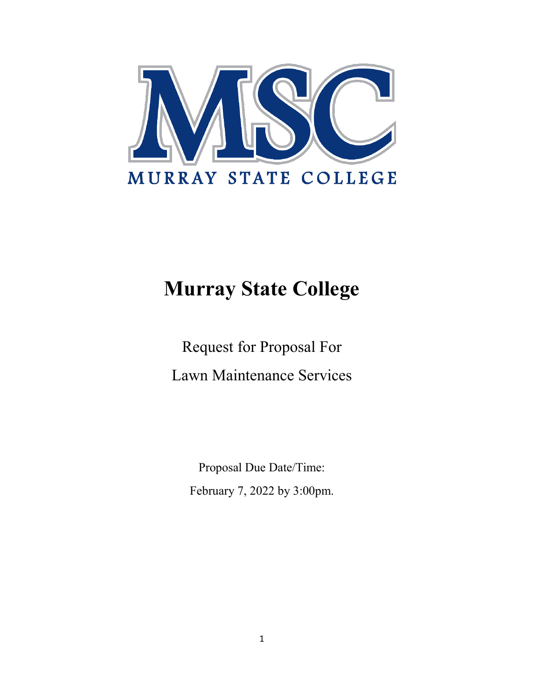

# **Murray State College**

Request for Proposal For Lawn Maintenance Services

Proposal Due Date/Time: February 7, 2022 by 3:00pm.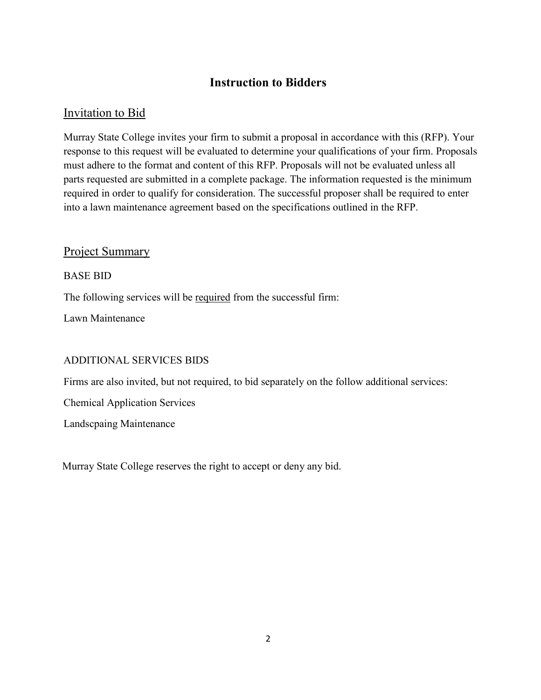## **Instruction to Bidders**

## Invitation to Bid

Murray State College invites your firm to submit a proposal in accordance with this (RFP). Your response to this request will be evaluated to determine your qualifications of your firm. Proposals must adhere to the format and content of this RFP. Proposals will not be evaluated unless all parts requested are submitted in a complete package. The information requested is the minimum required in order to qualify for consideration. The successful proposer shall be required to enter into a lawn maintenance agreement based on the specifications outlined in the RFP.

#### Project Summary

#### BASE BID

The following services will be required from the successful firm:

Lawn Maintenance

#### ADDITIONAL SERVICES BIDS

Firms are also invited, but not required, to bid separately on the follow additional services:

Chemical Application Services

Landscpaing Maintenance

Murray State College reserves the right to accept or deny any bid.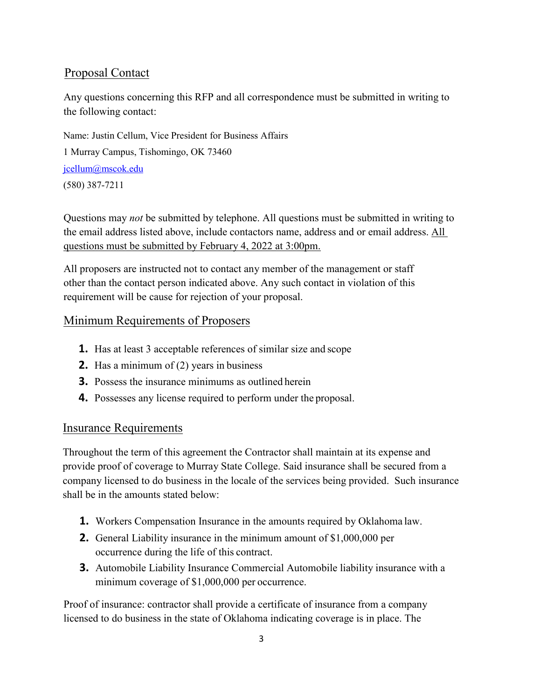## Proposal Contact

Any questions concerning this RFP and all correspondence must be submitted in writing to the following contact:

Name: Justin Cellum, Vice President for Business Affairs 1 Murray Campus, Tishomingo, OK 73460 [jcellum@mscok.edu](mailto:jcellum@mscok.edu) (580) 387-7211

Questions may *not* be submitted by telephone. All questions must be submitted in writing to the email address listed above, include contactors name, address and or email address. All questions must be submitted by February 4, 2022 at 3:00pm.

All proposers are instructed not to contact any member of the management or staff other than the contact person indicated above. Any such contact in violation of this requirement will be cause for rejection of your proposal.

#### Minimum Requirements of Proposers

- **1.** Has at least 3 acceptable references of similar size and scope
- **2.** Has a minimum of (2) years in business
- **3.** Possess the insurance minimums as outlined herein
- **4.** Possesses any license required to perform under the proposal.

#### Insurance Requirements

Throughout the term of this agreement the Contractor shall maintain at its expense and provide proof of coverage to Murray State College. Said insurance shall be secured from a company licensed to do business in the locale of the services being provided. Such insurance shall be in the amounts stated below:

- **1.** Workers Compensation Insurance in the amounts required by Oklahoma law.
- **2.** General Liability insurance in the minimum amount of \$1,000,000 per occurrence during the life of this contract.
- **3.** Automobile Liability Insurance Commercial Automobile liability insurance with a minimum coverage of \$1,000,000 per occurrence.

Proof of insurance: contractor shall provide a certificate of insurance from a company licensed to do business in the state of Oklahoma indicating coverage is in place. The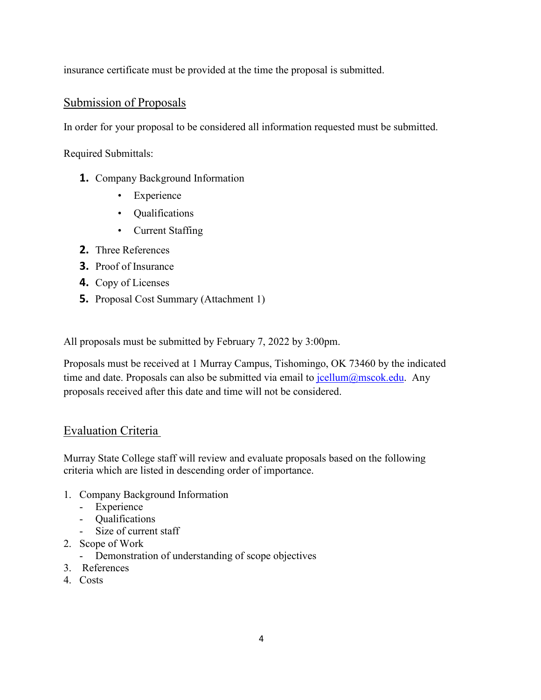insurance certificate must be provided at the time the proposal is submitted.

#### Submission of Proposals

In order for your proposal to be considered all information requested must be submitted.

Required Submittals:

- **1.** Company Background Information
	- Experience
	- Qualifications
	- Current Staffing
- **2.** Three References
- **3.** Proof of Insurance
- **4.** Copy of Licenses
- **5.** Proposal Cost Summary (Attachment 1)

All proposals must be submitted by February 7, 2022 by 3:00pm.

Proposals must be received at 1 Murray Campus, Tishomingo, OK 73460 by the indicated time and date. Proposals can also be submitted via email to  $jcellum@mscok.edu$ . Any proposals received after this date and time will not be considered.

#### Evaluation Criteria

Murray State College staff will review and evaluate proposals based on the following criteria which are listed in descending order of importance.

- 1. Company Background Information
	- Experience
	- Qualifications
	- Size of current staff
- 2. Scope of Work
	- Demonstration of understanding of scope objectives
- 3. References
- 4. Costs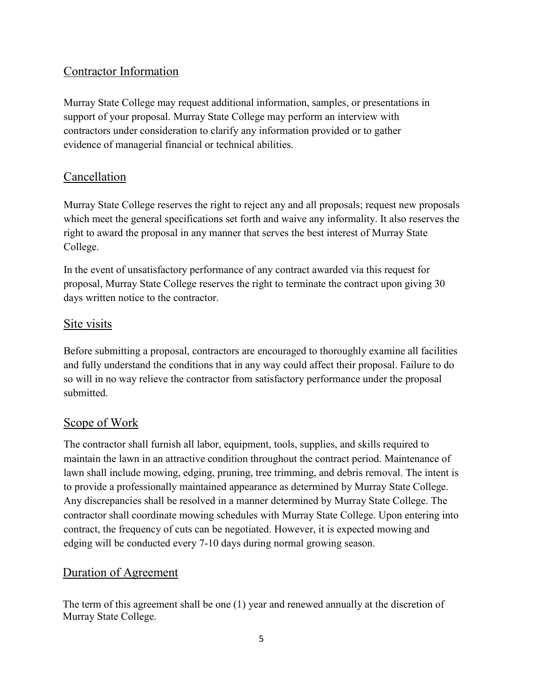## Contractor Information

Murray State College may request additional information, samples, or presentations in support of your proposal. Murray State College may perform an interview with contractors under consideration to clarify any information provided or to gather evidence of managerial financial or technical abilities.

## Cancellation

Murray State College reserves the right to reject any and all proposals; request new proposals which meet the general specifications set forth and waive any informality. It also reserves the right to award the proposal in any manner that serves the best interest of Murray State College.

In the event of unsatisfactory performance of any contract awarded via this request for proposal, Murray State College reserves the right to terminate the contract upon giving 30 days written notice to the contractor.

#### Site visits

Before submitting a proposal, contractors are encouraged to thoroughly examine all facilities and fully understand the conditions that in any way could affect their proposal. Failure to do so will in no way relieve the contractor from satisfactory performance under the proposal submitted.

#### Scope of Work

The contractor shall furnish all labor, equipment, tools, supplies, and skills required to maintain the lawn in an attractive condition throughout the contract period. Maintenance of lawn shall include mowing, edging, pruning, tree trimming, and debris removal. The intent is to provide a professionally maintained appearance as determined by Murray State College. Any discrepancies shall be resolved in a manner determined by Murray State College. The contractor shall coordinate mowing schedules with Murray State College. Upon entering into contract, the frequency of cuts can be negotiated. However, it is expected mowing and edging will be conducted every 7-10 days during normal growing season.

## Duration of Agreement

The term of this agreement shall be one (1) year and renewed annually at the discretion of Murray State College.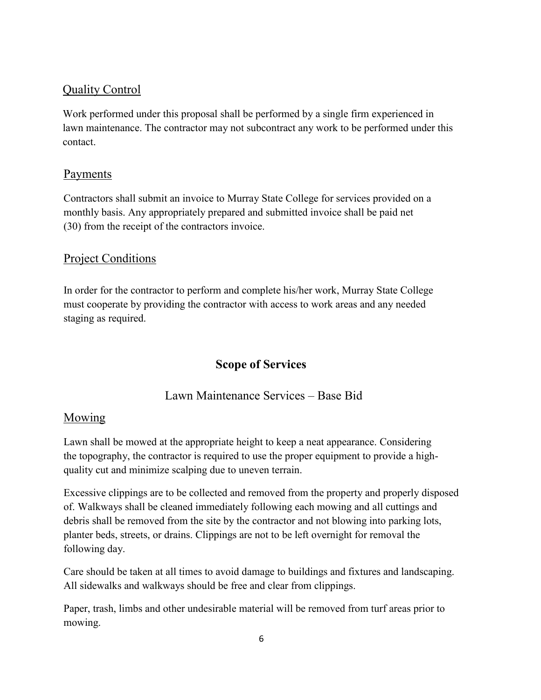## Quality Control

Work performed under this proposal shall be performed by a single firm experienced in lawn maintenance. The contractor may not subcontract any work to be performed under this contact.

#### Payments

Contractors shall submit an invoice to Murray State College for services provided on a monthly basis. Any appropriately prepared and submitted invoice shall be paid net (30) from the receipt of the contractors invoice.

#### Project Conditions

In order for the contractor to perform and complete his/her work, Murray State College must cooperate by providing the contractor with access to work areas and any needed staging as required.

## **Scope of Services**

## Lawn Maintenance Services – Base Bid

#### Mowing

Lawn shall be mowed at the appropriate height to keep a neat appearance. Considering the topography, the contractor is required to use the proper equipment to provide a highquality cut and minimize scalping due to uneven terrain.

Excessive clippings are to be collected and removed from the property and properly disposed of. Walkways shall be cleaned immediately following each mowing and all cuttings and debris shall be removed from the site by the contractor and not blowing into parking lots, planter beds, streets, or drains. Clippings are not to be left overnight for removal the following day.

Care should be taken at all times to avoid damage to buildings and fixtures and landscaping. All sidewalks and walkways should be free and clear from clippings.

Paper, trash, limbs and other undesirable material will be removed from turf areas prior to mowing.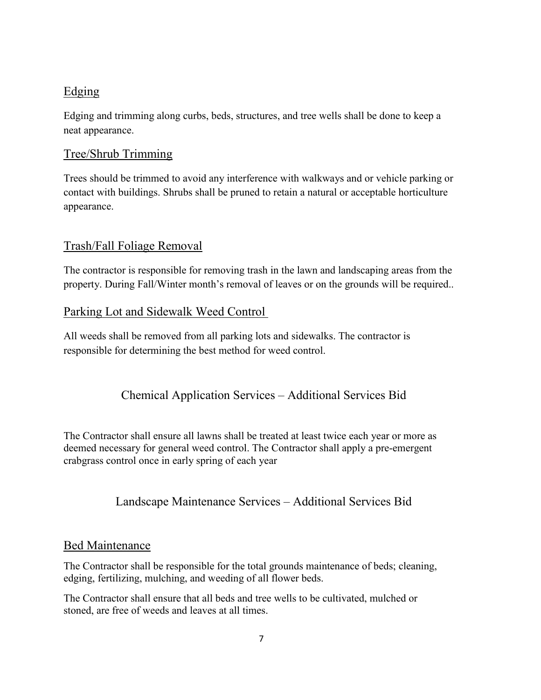## Edging

Edging and trimming along curbs, beds, structures, and tree wells shall be done to keep a neat appearance.

## Tree/Shrub Trimming

Trees should be trimmed to avoid any interference with walkways and or vehicle parking or contact with buildings. Shrubs shall be pruned to retain a natural or acceptable horticulture appearance.

## Trash/Fall Foliage Removal

The contractor is responsible for removing trash in the lawn and landscaping areas from the property. During Fall/Winter month's removal of leaves or on the grounds will be required..

## Parking Lot and Sidewalk Weed Control

All weeds shall be removed from all parking lots and sidewalks. The contractor is responsible for determining the best method for weed control.

## Chemical Application Services – Additional Services Bid

The Contractor shall ensure all lawns shall be treated at least twice each year or more as deemed necessary for general weed control. The Contractor shall apply a pre-emergent crabgrass control once in early spring of each year

## Landscape Maintenance Services – Additional Services Bid

#### Bed Maintenance

The Contractor shall be responsible for the total grounds maintenance of beds; cleaning, edging, fertilizing, mulching, and weeding of all flower beds.

The Contractor shall ensure that all beds and tree wells to be cultivated, mulched or stoned, are free of weeds and leaves at all times.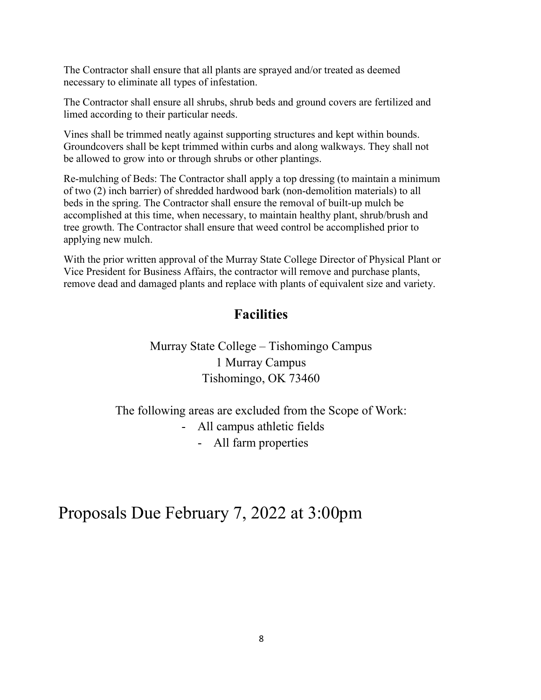The Contractor shall ensure that all plants are sprayed and/or treated as deemed necessary to eliminate all types of infestation.

The Contractor shall ensure all shrubs, shrub beds and ground covers are fertilized and limed according to their particular needs.

Vines shall be trimmed neatly against supporting structures and kept within bounds. Groundcovers shall be kept trimmed within curbs and along walkways. They shall not be allowed to grow into or through shrubs or other plantings.

Re-mulching of Beds: The Contractor shall apply a top dressing (to maintain a minimum of two (2) inch barrier) of shredded hardwood bark (non-demolition materials) to all beds in the spring. The Contractor shall ensure the removal of built-up mulch be accomplished at this time, when necessary, to maintain healthy plant, shrub/brush and tree growth. The Contractor shall ensure that weed control be accomplished prior to applying new mulch.

With the prior written approval of the Murray State College Director of Physical Plant or Vice President for Business Affairs, the contractor will remove and purchase plants, remove dead and damaged plants and replace with plants of equivalent size and variety.

## **Facilities**

Murray State College – Tishomingo Campus 1 Murray Campus Tishomingo, OK 73460

The following areas are excluded from the Scope of Work: - All campus athletic fields - All farm properties

Proposals Due February 7, 2022 at 3:00pm